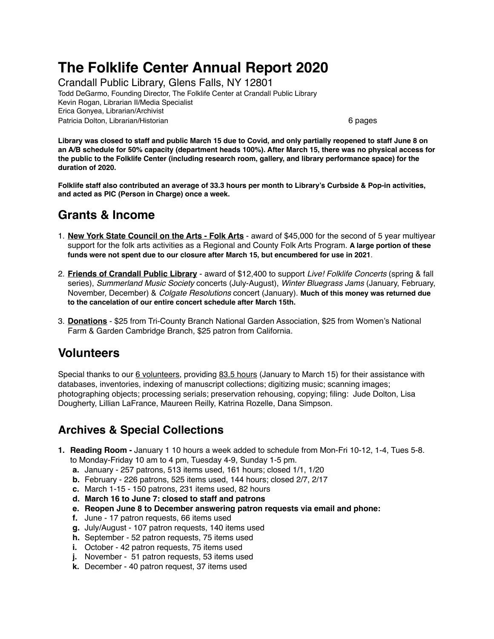# **The Folklife Center Annual Report 2020**

Crandall Public Library, Glens Falls, NY 12801 Todd DeGarmo, Founding Director, The Folklife Center at Crandall Public Library Kevin Rogan, Librarian II/Media Specialist Erica Gonyea, Librarian/Archivist Patricia Dolton, Librarian/Historian 6 pages

**Library was closed to staff and public March 15 due to Covid, and only partially reopened to staff June 8 on an A/B schedule for 50% capacity (department heads 100%). After March 15, there was no physical access for the public to the Folklife Center (including research room, gallery, and library performance space) for the duration of 2020.** 

**Folklife staff also contributed an average of 33.3 hours per month to Library's Curbside & Pop-in activities, and acted as PIC (Person in Charge) once a week.**

## **Grants & Income**

- 1. **New York State Council on the Arts Folk Arts** award of \$45,000 for the second of 5 year multiyear support for the folk arts activities as a Regional and County Folk Arts Program. **A large portion of these funds were not spent due to our closure after March 15, but encumbered for use in 2021**.
- 2. **Friends of Crandall Public Library** award of \$12,400 to support *Live! Folklife Concerts* (spring & fall series), *Summerland Music Society* concerts (July-August), *Winter Bluegrass Jams* (January, February, November, December) & *Colgate Resolutions* concert (January). **Much of this money was returned due to the cancelation of our entire concert schedule after March 15th.**
- 3. **Donations** \$25 from Tri-County Branch National Garden Association, \$25 from Women's National Farm & Garden Cambridge Branch, \$25 patron from California.

# **Volunteers**

Special thanks to our 6 volunteers, providing 83.5 hours (January to March 15) for their assistance with databases, inventories, indexing of manuscript collections; digitizing music; scanning images; photographing objects; processing serials; preservation rehousing, copying; filing: Jude Dolton, Lisa Dougherty, Lillian LaFrance, Maureen Reilly, Katrina Rozelle, Dana Simpson.

# **Archives & Special Collections**

- **1. Reading Room** January 1 10 hours a week added to schedule from Mon-Fri 10-12, 1-4, Tues 5-8. to Monday-Friday 10 am to 4 pm, Tuesday 4-9, Sunday 1-5 pm.
	- **a.** January 257 patrons, 513 items used, 161 hours; closed 1/1, 1/20
	- **b.** February 226 patrons, 525 items used, 144 hours; closed 2/7, 2/17
	- **c.** March 1-15 150 patrons, 231 items used, 82 hours
	- **d. March 16 to June 7: closed to staff and patrons**
	- **e. Reopen June 8 to December answering patron requests via email and phone:**
	- **f.** June 17 patron requests, 66 items used
	- **g.** July/August 107 patron requests, 140 items used
	- **h.** September 52 patron requests, 75 items used
	- **i.** October 42 patron requests, 75 items used
	- **j.** November 51 patron requests, 53 items used
	- **k.** December 40 patron request, 37 items used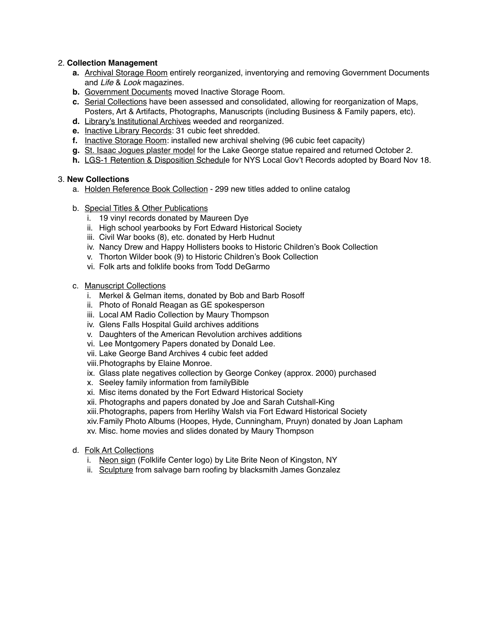#### 2. **Collection Management**

- **a.** Archival Storage Room entirely reorganized, inventorying and removing Government Documents and *Life* & *Look* magazines.
- **b.** Government Documents moved Inactive Storage Room.
- **c.** Serial Collections have been assessed and consolidated, allowing for reorganization of Maps, Posters, Art & Artifacts, Photographs, Manuscripts (including Business & Family papers, etc).
- **d.** Library's Institutional Archives weeded and reorganized.
- **e.** Inactive Library Records: 31 cubic feet shredded.
- **f.** Inactive Storage Room: installed new archival shelving (96 cubic feet capacity)
- **g.** St. Isaac Jogues plaster model for the Lake George statue repaired and returned October 2.
- **h.** LGS-1 Retention & Disposition Schedule for NYS Local Gov't Records adopted by Board Nov 18.

#### 3. **New Collections**

- a. Holden Reference Book Collection 299 new titles added to online catalog
- b. Special Titles & Other Publications
	- i. 19 vinyl records donated by Maureen Dye
	- ii. High school yearbooks by Fort Edward Historical Society
	- iii. Civil War books (8), etc. donated by Herb Hudnut
	- iv. Nancy Drew and Happy Hollisters books to Historic Children's Book Collection
	- v. Thorton Wilder book (9) to Historic Children's Book Collection
	- vi. Folk arts and folklife books from Todd DeGarmo

#### c. Manuscript Collections

- i. Merkel & Gelman items, donated by Bob and Barb Rosoff
- ii. Photo of Ronald Reagan as GE spokesperson
- iii. Local AM Radio Collection by Maury Thompson
- iv. Glens Falls Hospital Guild archives additions
- v. Daughters of the American Revolution archives additions
- vi. Lee Montgomery Papers donated by Donald Lee.
- vii. Lake George Band Archives 4 cubic feet added
- viii.Photographs by Elaine Monroe.
- ix. Glass plate negatives collection by George Conkey (approx. 2000) purchased
- x. Seeley family information from familyBible
- xi. Misc items donated by the Fort Edward Historical Society
- xii. Photographs and papers donated by Joe and Sarah Cutshall-King
- xiii.Photographs, papers from Herlihy Walsh via Fort Edward Historical Society
- xiv.Family Photo Albums (Hoopes, Hyde, Cunningham, Pruyn) donated by Joan Lapham
- xv. Misc. home movies and slides donated by Maury Thompson
- d. Folk Art Collections
	- i. Neon sign (Folklife Center logo) by Lite Brite Neon of Kingston, NY
	- ii. Sculpture from salvage barn roofing by blacksmith James Gonzalez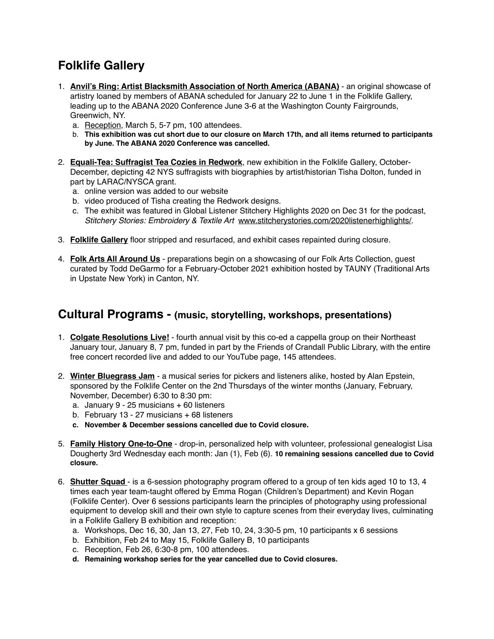# **Folklife Gallery**

- 1. **Anvil's Ring: Artist Blacksmith Association of North America (ABANA)** an original showcase of artistry loaned by members of ABANA scheduled for January 22 to June 1 in the Folklife Gallery, leading up to the ABANA 2020 Conference June 3-6 at the Washington County Fairgrounds, Greenwich, NY.
	- a. Reception, March 5, 5-7 pm, 100 attendees.
	- b. **This exhibition was cut short due to our closure on March 17th, and all items returned to participants by June. The ABANA 2020 Conference was cancelled.**
- 2. **Equali-Tea: Suffragist Tea Cozies in Redwork**, new exhibition in the Folklife Gallery, October-December, depicting 42 NYS suffragists with biographies by artist/historian Tisha Dolton, funded in part by LARAC/NYSCA grant.
	- a. online version was added to our website
	- b. video produced of Tisha creating the Redwork designs.
	- c. The exhibit was featured in Global Listener Stitchery Highlights 2020 on Dec 31 for the podcast, *Stitchery Stories: Embroidery & Textile Art* [www.stitcherystories.com/2020listenerhighlights/.](http://www.stitcherystories.com/2020listenerhighlights/)
- 3. **Folklife Gallery** floor stripped and resurfaced, and exhibit cases repainted during closure.
- 4. **Folk Arts All Around Us** preparations begin on a showcasing of our Folk Arts Collection, guest curated by Todd DeGarmo for a February-October 2021 exhibition hosted by TAUNY (Traditional Arts in Upstate New York) in Canton, NY.

### **Cultural Programs - (music, storytelling, workshops, presentations)**

- 1. **Colgate Resolutions Live!** fourth annual visit by this co-ed a cappella group on their Northeast January tour, January 8, 7 pm, funded in part by the Friends of Crandall Public Library, with the entire free concert recorded live and added to our YouTube page, 145 attendees.
- 2. **Winter Bluegrass Jam** a musical series for pickers and listeners alike, hosted by Alan Epstein, sponsored by the Folklife Center on the 2nd Thursdays of the winter months (January, February, November, December) 6:30 to 8:30 pm:
	- a. January 9 25 musicians + 60 listeners
	- b. February 13 27 musicians + 68 listeners
	- **c. November & December sessions cancelled due to Covid closure.**
- 5. **Family History One-to-One** drop-in, personalized help with volunteer, professional genealogist Lisa Dougherty 3rd Wednesday each month: Jan (1), Feb (6). **10 remaining sessions cancelled due to Covid closure.**
- 6. **Shutter Squad**  is a 6-session photography program offered to a group of ten kids aged 10 to 13, 4 times each year team-taught offered by Emma Rogan (Children's Department) and Kevin Rogan (Folklife Center). Over 6 sessions participants learn the principles of photography using professional equipment to develop skill and their own style to capture scenes from their everyday lives, culminating in a Folklife Gallery B exhibition and reception:
	- a. Workshops, Dec 16, 30, Jan 13, 27, Feb 10, 24, 3:30-5 pm, 10 participants x 6 sessions
	- b. Exhibition, Feb 24 to May 15, Folklife Gallery B, 10 participants
	- c. Reception, Feb 26, 6:30-8 pm, 100 attendees.
	- **d. Remaining workshop series for the year cancelled due to Covid closures.**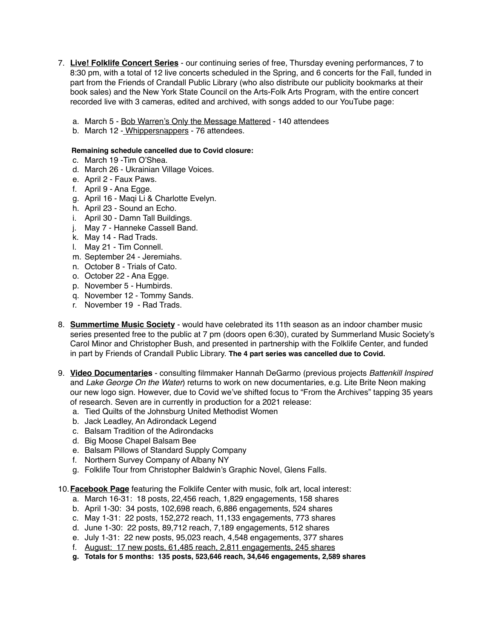- 7. **Live! Folklife Concert Series** our continuing series of free, Thursday evening performances, 7 to 8:30 pm, with a total of 12 live concerts scheduled in the Spring, and 6 concerts for the Fall, funded in part from the Friends of Crandall Public Library (who also distribute our publicity bookmarks at their book sales) and the New York State Council on the Arts-Folk Arts Program, with the entire concert recorded live with 3 cameras, edited and archived, with songs added to our YouTube page:
	- a. March 5 Bob Warren's Only the Message Mattered 140 attendees
	- b. March 12 Whippersnappers 76 attendees.

#### **Remaining schedule cancelled due to Covid closure:**

- c. March 19 -Tim O'Shea.
- d. March 26 Ukrainian Village Voices.
- e. April 2 Faux Paws.
- f. April 9 Ana Egge.
- g. April 16 Maqi Li & Charlotte Evelyn.
- h. April 23 Sound an Echo.
- i. April 30 Damn Tall Buildings.
- j. May 7 Hanneke Cassell Band.
- k. May 14 Rad Trads.
- l. May 21 Tim Connell.
- m. September 24 Jeremiahs.
- n. October 8 Trials of Cato.
- o. October 22 Ana Egge.
- p. November 5 Humbirds.
- q. November 12 Tommy Sands.
- r. November 19 Rad Trads.
- 8. **Summertime Music Society** would have celebrated its 11th season as an indoor chamber music series presented free to the public at 7 pm (doors open 6:30), curated by Summerland Music Society's Carol Minor and Christopher Bush, and presented in partnership with the Folklife Center, and funded in part by Friends of Crandall Public Library. **The 4 part series was cancelled due to Covid.**
- 9. **Video Documentaries** consulting filmmaker Hannah DeGarmo (previous projects *Battenkill Inspired* and *Lake George On the Water*) returns to work on new documentaries, e.g. Lite Brite Neon making our new logo sign. However, due to Covid we've shifted focus to "From the Archives" tapping 35 years of research. Seven are in currently in production for a 2021 release:
	- a. Tied Quilts of the Johnsburg United Methodist Women
	- b. Jack Leadley, An Adirondack Legend
	- c. Balsam Tradition of the Adirondacks
	- d. Big Moose Chapel Balsam Bee
	- e. Balsam Pillows of Standard Supply Company
	- f. Northern Survey Company of Albany NY
	- g. Folklife Tour from Christopher Baldwin's Graphic Novel, Glens Falls.

10.**Facebook Page** featuring the Folklife Center with music, folk art, local interest:

- a. March 16-31: 18 posts, 22,456 reach, 1,829 engagements, 158 shares
- b. April 1-30: 34 posts, 102,698 reach, 6,886 engagements, 524 shares
- c. May 1-31: 22 posts, 152,272 reach, 11,133 engagements, 773 shares
- d. June 1-30: 22 posts, 89,712 reach, 7,189 engagements, 512 shares
- e. July 1-31: 22 new posts, 95,023 reach, 4,548 engagements, 377 shares
- f. August: 17 new posts, 61,485 reach, 2,811 engagements, 245 shares
- **g. Totals for 5 months: 135 posts, 523,646 reach, 34,646 engagements, 2,589 shares**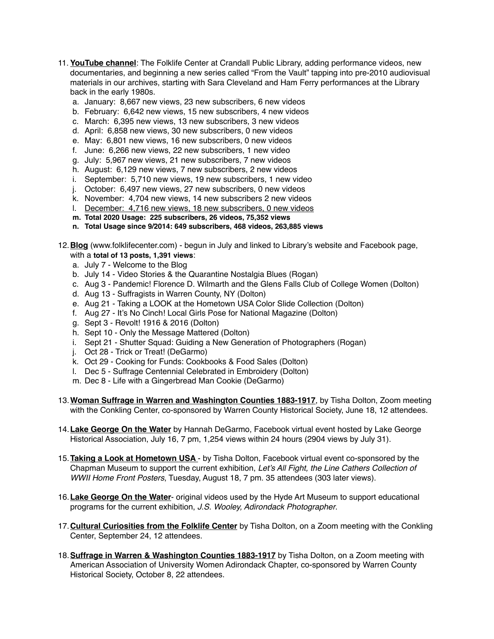- 11. **YouTube channel**: The Folklife Center at Crandall Public Library, adding performance videos, new documentaries, and beginning a new series called "From the Vault" tapping into pre-2010 audiovisual materials in our archives, starting with Sara Cleveland and Ham Ferry performances at the Library back in the early 1980s.
	- a. January: 8,667 new views, 23 new subscribers, 6 new videos
	- b. February: 6,642 new views, 15 new subscribers, 4 new videos
	- c. March: 6,395 new views, 13 new subscribers, 3 new videos
	- d. April: 6,858 new views, 30 new subscribers, 0 new videos
	- e. May: 6,801 new views, 16 new subscribers, 0 new videos
	- f. June: 6,266 new views, 22 new subscribers, 1 new video
	- g. July: 5,967 new views, 21 new subscribers, 7 new videos
	- h. August: 6,129 new views, 7 new subscribers, 2 new videos
	- i. September: 5,710 new views, 19 new subscribers, 1 new video
	- j. October: 6,497 new views, 27 new subscribers, 0 new videos
	- k. November: 4,704 new views, 14 new subscribers 2 new videos
	- l. December: 4,716 new views, 18 new subscribers, 0 new videos
	- **m. Total 2020 Usage: 225 subscribers, 26 videos, 75,352 views**
	- **n. Total Usage since 9/2014: 649 subscribers, 468 videos, 263,885 views**
- 12.**Blog** [\(www.folklifecenter.com](http://www.folklifecenter.com)) begun in July and linked to Library's website and Facebook page, with a **total of 13 posts, 1,391 views**:
	- a. July 7 Welcome to the Blog
	- b. July 14 Video Stories & the Quarantine Nostalgia Blues (Rogan)
	- c. Aug 3 Pandemic! Florence D. Wilmarth and the Glens Falls Club of College Women (Dolton)
	- d. Aug 13 Suffragists in Warren County, NY (Dolton)
	- e. Aug 21 Taking a LOOK at the Hometown USA Color Slide Collection (Dolton)
	- f. Aug 27 It's No Cinch! Local Girls Pose for National Magazine (Dolton)
	- g. Sept 3 Revolt! 1916 & 2016 (Dolton)
	- h. Sept 10 Only the Message Mattered (Dolton)
	- i. Sept 21 Shutter Squad: Guiding a New Generation of Photographers (Rogan)
	- j. Oct 28 Trick or Treat! (DeGarmo)
	- k. Oct 29 Cooking for Funds: Cookbooks & Food Sales (Dolton)
	- l. Dec 5 Suffrage Centennial Celebrated in Embroidery (Dolton)
	- m. Dec 8 Life with a Gingerbread Man Cookie (DeGarmo)
- 13.**Woman Suffrage in Warren and Washington Counties 1883-1917**, by Tisha Dolton, Zoom meeting with the Conkling Center, co-sponsored by Warren County Historical Society, June 18, 12 attendees.
- 14.**Lake George On the Water** by Hannah DeGarmo, Facebook virtual event hosted by Lake George Historical Association, July 16, 7 pm, 1,254 views within 24 hours (2904 views by July 31).
- 15.**Taking a Look at Hometown USA**  by Tisha Dolton, Facebook virtual event co-sponsored by the Chapman Museum to support the current exhibition, *Let's All Fight, the Line Cathers Collection of WWII Home Front Posters*, Tuesday, August 18, 7 pm. 35 attendees (303 later views).
- 16.**Lake George On the Water** original videos used by the Hyde Art Museum to support educational programs for the current exhibition, *J.S. Wooley, Adirondack Photographer*.
- 17.**Cultural Curiosities from the Folklife Center** by Tisha Dolton, on a Zoom meeting with the Conkling Center, September 24, 12 attendees.
- 18.**Suffrage in Warren & Washington Counties 1883-1917** by Tisha Dolton, on a Zoom meeting with American Association of University Women Adirondack Chapter, co-sponsored by Warren County Historical Society, October 8, 22 attendees.